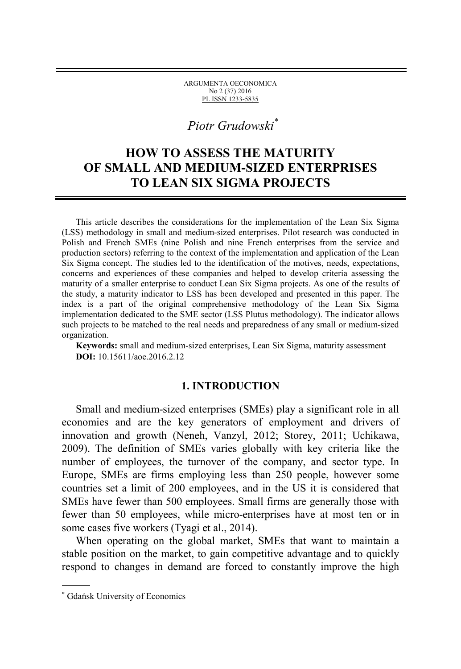ARGUMENTA OECONOMICA No 2 (37) 2016 PL ISSN 1233-5835

# [∗](#page-0-0) *Piotr Grudowski\**

## **HOW TO ASSESS THE MATURITY OF SMALL AND MEDIUM-SIZED ENTERPRISES TO LEAN SIX SIGMA PROJECTS**

This article describes the considerations for the implementation of the Lean Six Sigma (LSS) methodology in small and medium-sized enterprises. Pilot research was conducted in Polish and French SMEs (nine Polish and nine French enterprises from the service and production sectors) referring to the context of the implementation and application of the Lean Six Sigma concept. The studies led to the identification of the motives, needs, expectations, concerns and experiences of these companies and helped to develop criteria assessing the maturity of a smaller enterprise to conduct Lean Six Sigma projects. As one of the results of the study, a maturity indicator to LSS has been developed and presented in this paper. The index is a part of the original comprehensive methodology of the Lean Six Sigma implementation dedicated to the SME sector (LSS Plutus methodology). The indicator allows such projects to be matched to the real needs and preparedness of any small or medium-sized organization.

**Keywords:** small and medium-sized enterprises, Lean Six Sigma, maturity assessment **DOI:** 10.15611/aoe.2016.2.12

### **1. INTRODUCTION**

Small and medium-sized enterprises (SMEs) play a significant role in all economies and are the key generators of employment and drivers of innovation and growth (Neneh, Vanzyl, 2012; Storey, 2011; Uchikawa, 2009). The definition of SMEs varies globally with key criteria like the number of employees, the turnover of the company, and sector type. In Europe, SMEs are firms employing less than 250 people, however some countries set a limit of 200 employees, and in the US it is considered that SMEs have fewer than 500 employees. Small firms are generally those with fewer than 50 employees, while micro-enterprises have at most ten or in some cases five workers (Tyagi et al., 2014).

When operating on the global market, SMEs that want to maintain a stable position on the market, to gain competitive advantage and to quickly respond to changes in demand are forced to constantly improve the high

 $\overline{a}$ 

<span id="page-0-0"></span><sup>∗</sup> Gdańsk University of Economics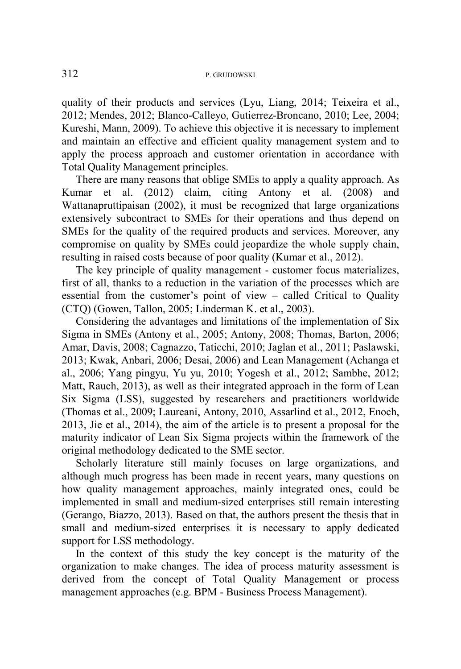#### 312 P. GRUDOWSKI

quality of their products and services (Lyu, Liang, 2014; Teixeira et al., 2012; Mendes, 2012; Blanco-Calleyo, Gutierrez-Broncano, 2010; Lee, 2004; Kureshi, Mann, 2009). To achieve this objective it is necessary to implement and maintain an effective and efficient quality management system and to apply the process approach and customer orientation in accordance with Total Quality Management principles.

There are many reasons that oblige SMEs to apply a quality approach. As Kumar et al. (2012) claim, citing Antony et al. (2008) and Wattanapruttipaisan (2002), it must be recognized that large organizations extensively subcontract to SMEs for their operations and thus depend on SMEs for the quality of the required products and services. Moreover, any compromise on quality by SMEs could jeopardize the whole supply chain, resulting in raised costs because of poor quality (Kumar et al., 2012).

The key principle of quality management - customer focus materializes, first of all, thanks to a reduction in the variation of the processes which are essential from the customer's point of view – called Critical to Quality (CTQ) (Gowen, Tallon, 2005; Linderman K. et al., 2003).

Considering the advantages and limitations of the implementation of Six Sigma in SMEs (Antony et al., 2005; Antony, 2008; Thomas, Barton, 2006; Amar, Davis, 2008; Cagnazzo, Taticchi, 2010; Jaglan et al., 2011; Paslawski, 2013; Kwak, Anbari, 2006; Desai, 2006) and Lean Management (Achanga et al., 2006; Yang pingyu, Yu yu, 2010; Yogesh et al., 2012; Sambhe, 2012; Matt, Rauch, 2013), as well as their integrated approach in the form of Lean Six Sigma (LSS), suggested by researchers and practitioners worldwide (Thomas et al., 2009; Laureani, Antony, 2010, Assarlind et al., 2012, Enoch, 2013, Jie et al., 2014), the aim of the article is to present a proposal for the maturity indicator of Lean Six Sigma projects within the framework of the original methodology dedicated to the SME sector.

Scholarly literature still mainly focuses on large organizations, and although much progress has been made in recent years, many questions on how quality management approaches, mainly integrated ones, could be implemented in small and medium-sized enterprises still remain interesting (Gerango, Biazzo, 2013). Based on that, the authors present the thesis that in small and medium-sized enterprises it is necessary to apply dedicated support for LSS methodology.

In the context of this study the key concept is the maturity of the organization to make changes. The idea of process maturity assessment is derived from the concept of Total Quality Management or process management approaches (e.g. BPM - Business Process Management).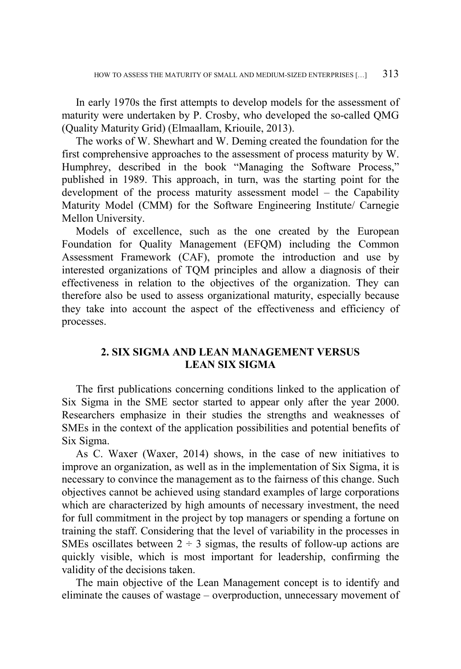In early 1970s the first attempts to develop models for the assessment of maturity were undertaken by P. Crosby, who developed the so-called QMG (Quality Maturity Grid) (Elmaallam, Kriouile, 2013).

The works of W. Shewhart and W. Deming created the foundation for the first comprehensive approaches to the assessment of process maturity by W. Humphrey, described in the book "Managing the Software Process," published in 1989. This approach, in turn, was the starting point for the development of the process maturity assessment model – the Capability Maturity Model (CMM) for the Software Engineering Institute/ Carnegie Mellon University.

Models of excellence, such as the one created by the European Foundation for Quality Management (EFQM) including the Common Assessment Framework (CAF), promote the introduction and use by interested organizations of TQM principles and allow a diagnosis of their effectiveness in relation to the objectives of the organization. They can therefore also be used to assess organizational maturity, especially because they take into account the aspect of the effectiveness and efficiency of processes.

## **2. SIX SIGMA AND LEAN MANAGEMENT VERSUS LEAN SIX SIGMA**

The first publications concerning conditions linked to the application of Six Sigma in the SME sector started to appear only after the year 2000. Researchers emphasize in their studies the strengths and weaknesses of SMEs in the context of the application possibilities and potential benefits of Six Sigma.

As C. Waxer (Waxer, 2014) shows, in the case of new initiatives to improve an organization, as well as in the implementation of Six Sigma, it is necessary to convince the management as to the fairness of this change. Such objectives cannot be achieved using standard examples of large corporations which are characterized by high amounts of necessary investment, the need for full commitment in the project by top managers or spending a fortune on training the staff. Considering that the level of variability in the processes in SMEs oscillates between  $2 \div 3$  sigmas, the results of follow-up actions are quickly visible, which is most important for leadership, confirming the validity of the decisions taken.

The main objective of the Lean Management concept is to identify and eliminate the causes of wastage – overproduction, unnecessary movement of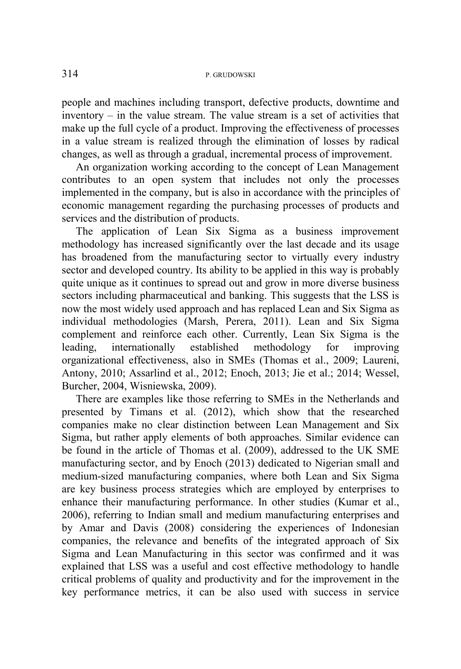people and machines including transport, defective products, downtime and inventory – in the value stream. The value stream is a set of activities that make up the full cycle of a product. Improving the effectiveness of processes in a value stream is realized through the elimination of losses by radical changes, as well as through a gradual, incremental process of improvement.

An organization working according to the concept of Lean Management contributes to an open system that includes not only the processes implemented in the company, but is also in accordance with the principles of economic management regarding the purchasing processes of products and services and the distribution of products.

The application of Lean Six Sigma as a business improvement methodology has increased significantly over the last decade and its usage has broadened from the manufacturing sector to virtually every industry sector and developed country. Its ability to be applied in this way is probably quite unique as it continues to spread out and grow in more diverse business sectors including pharmaceutical and banking. This suggests that the LSS is now the most widely used approach and has replaced Lean and Six Sigma as individual methodologies (Marsh, Perera, 2011). Lean and Six Sigma complement and reinforce each other. Currently, Lean Six Sigma is the leading, internationally established methodology for improving organizational effectiveness, also in SMEs (Thomas et al., 2009; Laureni, Antony, 2010; Assarlind et al., 2012; Enoch, 2013; Jie et al.; 2014; Wessel, Burcher, 2004, Wisniewska, 2009).

There are examples like those referring to SMEs in the Netherlands and presented by Timans et al. (2012), which show that the researched companies make no clear distinction between Lean Management and Six Sigma, but rather apply elements of both approaches. Similar evidence can be found in the article of Thomas et al. (2009), addressed to the UK SME manufacturing sector, and by Enoch (2013) dedicated to Nigerian small and medium-sized manufacturing companies, where both Lean and Six Sigma are key business process strategies which are employed by enterprises to enhance their manufacturing performance. In other studies (Kumar et al., 2006), referring to Indian small and medium manufacturing enterprises and by Amar and Davis (2008) considering the experiences of Indonesian companies, the relevance and benefits of the integrated approach of Six Sigma and Lean Manufacturing in this sector was confirmed and it was explained that LSS was a useful and cost effective methodology to handle critical problems of quality and productivity and for the improvement in the key performance metrics, it can be also used with success in service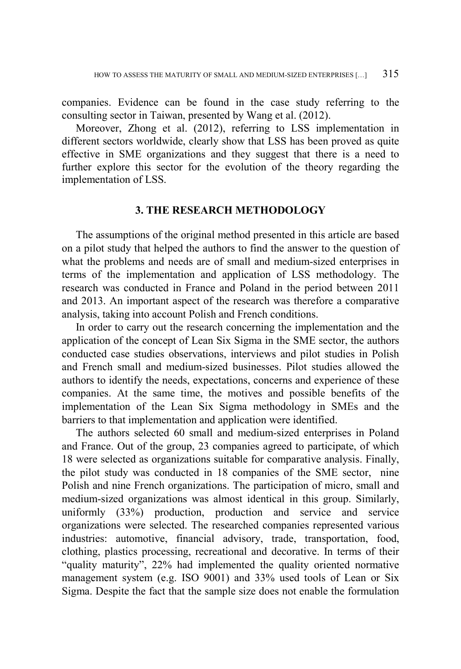companies. Evidence can be found in the case study referring to the consulting sector in Taiwan, presented by Wang et al. (2012).

Moreover, Zhong et al. (2012), referring to LSS implementation in different sectors worldwide, clearly show that LSS has been proved as quite effective in SME organizations and they suggest that there is a need to further explore this sector for the evolution of the theory regarding the implementation of LSS.

### **3. THE RESEARCH METHODOLOGY**

The assumptions of the original method presented in this article are based on a pilot study that helped the authors to find the answer to the question of what the problems and needs are of small and medium-sized enterprises in terms of the implementation and application of LSS methodology. The research was conducted in France and Poland in the period between 2011 and 2013. An important aspect of the research was therefore a comparative analysis, taking into account Polish and French conditions.

In order to carry out the research concerning the implementation and the application of the concept of Lean Six Sigma in the SME sector, the authors conducted case studies observations, interviews and pilot studies in Polish and French small and medium-sized businesses. Pilot studies allowed the authors to identify the needs, expectations, concerns and experience of these companies. At the same time, the motives and possible benefits of the implementation of the Lean Six Sigma methodology in SMEs and the barriers to that implementation and application were identified.

The authors selected 60 small and medium-sized enterprises in Poland and France. Out of the group, 23 companies agreed to participate, of which 18 were selected as organizations suitable for comparative analysis. Finally, the pilot study was conducted in 18 companies of the SME sector, nine Polish and nine French organizations. The participation of micro, small and medium-sized organizations was almost identical in this group. Similarly, uniformly (33%) production, production and service and service organizations were selected. The researched companies represented various industries: automotive, financial advisory, trade, transportation, food, clothing, plastics processing, recreational and decorative. In terms of their "quality maturity", 22% had implemented the quality oriented normative management system (e.g. ISO 9001) and 33% used tools of Lean or Six Sigma. Despite the fact that the sample size does not enable the formulation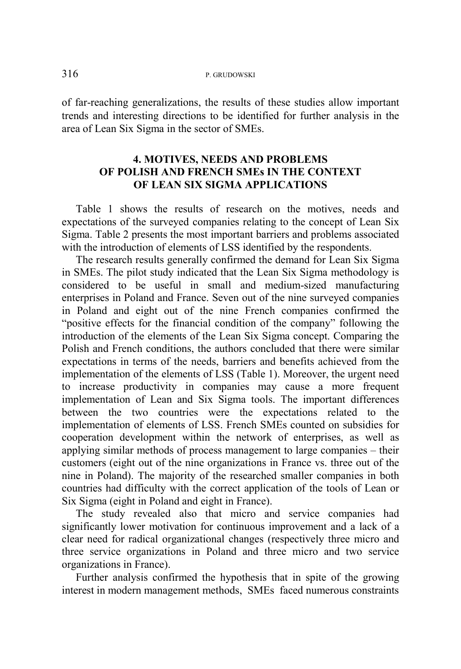of far-reaching generalizations, the results of these studies allow important trends and interesting directions to be identified for further analysis in the area of Lean Six Sigma in the sector of SMEs.

## **4. MOTIVES, NEEDS AND PROBLEMS OF POLISH AND FRENCH SMEs IN THE CONTEXT OF LEAN SIX SIGMA APPLICATIONS**

Table 1 shows the results of research on the motives, needs and expectations of the surveyed companies relating to the concept of Lean Six Sigma. Table 2 presents the most important barriers and problems associated with the introduction of elements of LSS identified by the respondents.

The research results generally confirmed the demand for Lean Six Sigma in SMEs. The pilot study indicated that the Lean Six Sigma methodology is considered to be useful in small and medium-sized manufacturing enterprises in Poland and France. Seven out of the nine surveyed companies in Poland and eight out of the nine French companies confirmed the "positive effects for the financial condition of the company" following the introduction of the elements of the Lean Six Sigma concept. Comparing the Polish and French conditions, the authors concluded that there were similar expectations in terms of the needs, barriers and benefits achieved from the implementation of the elements of LSS (Table 1). Moreover, the urgent need to increase productivity in companies may cause a more frequent implementation of Lean and Six Sigma tools. The important differences between the two countries were the expectations related to the implementation of elements of LSS. French SMEs counted on subsidies for cooperation development within the network of enterprises, as well as applying similar methods of process management to large companies – their customers (eight out of the nine organizations in France vs. three out of the nine in Poland). The majority of the researched smaller companies in both countries had difficulty with the correct application of the tools of Lean or Six Sigma (eight in Poland and eight in France).

The study revealed also that micro and service companies had significantly lower motivation for continuous improvement and a lack of a clear need for radical organizational changes (respectively three micro and three service organizations in Poland and three micro and two service organizations in France).

Further analysis confirmed the hypothesis that in spite of the growing interest in modern management methods, SMEs faced numerous constraints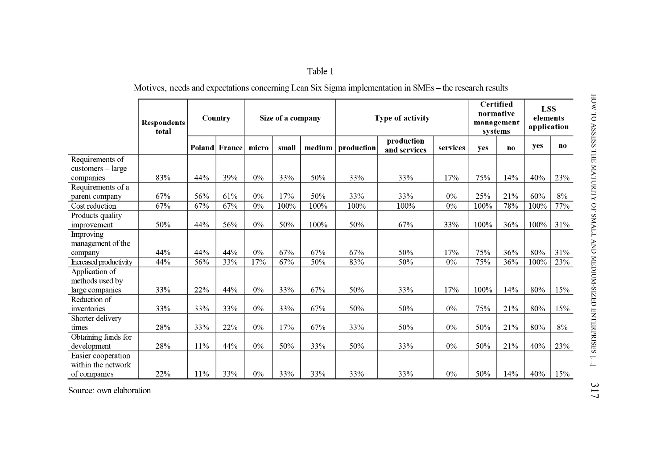| aple |  |
|------|--|
|      |  |

Motives, needs and expectations concerning Lean Six Sigma implementation in SMEs - the research results

|                                          | <b>Respondents</b><br>total |     |                      | Country | Size of a company |        | Type of activity |                            |          | Certified<br>normative<br>management<br>systems |              | <b>LSS</b><br>elements<br>application |       |
|------------------------------------------|-----------------------------|-----|----------------------|---------|-------------------|--------|------------------|----------------------------|----------|-------------------------------------------------|--------------|---------------------------------------|-------|
|                                          |                             |     | <b>Poland France</b> | micro   | small             | medium | production       | production<br>and services | services | yes                                             | $\mathbf{n}$ | yes                                   | no.   |
| Requirements of                          |                             |     |                      |         |                   |        |                  |                            |          |                                                 |              |                                       |       |
| $cuts-large$                             |                             |     |                      |         |                   |        |                  |                            |          |                                                 |              |                                       |       |
| companies                                | 83%                         | 44% | 39%                  | 0%      | 33%               | 50%    | 33%              | 33%                        | 17%      | 75%                                             | 14%          | 40%                                   | 23%   |
| Requirements of a                        |                             |     |                      |         |                   |        |                  |                            |          |                                                 |              |                                       |       |
| parent company                           | 67%                         | 56% | 61%                  | 0%      | 17%               | 50%    | 33%              | 33%                        | 0%       | 25%                                             | 21%          | 60%                                   | 8%    |
| Cost reduction                           | 67%                         | 67% | 67%                  | 0%      | 100%              | 100%   | 100%             | 100%                       | 0%       | 100%                                            | 78%          | 100%                                  | 77%   |
| Products quality                         |                             |     |                      |         |                   |        |                  |                            |          |                                                 |              |                                       |       |
| improvement                              | 50%                         | 44% | 56%                  | 0%      | 50%               | 100%   | 50%              | 67%                        | 33%      | 100%                                            | 36%          | 100%                                  | 31%   |
| Improving                                |                             |     |                      |         |                   |        |                  |                            |          |                                                 |              |                                       |       |
| management of the                        |                             |     |                      |         |                   |        |                  |                            |          |                                                 |              |                                       |       |
| company                                  | 44%                         | 44% | 44%                  | 0%      | 67%               | 67%    | 67%              | 50%                        | 17%      | 75%                                             | 36%          | 80%                                   | 31%   |
| Increased productivity                   | 44%                         | 56% | 33%                  | 17%     | 67%               | 50%    | 83%              | 50%                        | 0%       | 75%                                             | 36%          | 100%                                  | 23%   |
| Application of                           |                             |     |                      |         |                   |        |                  |                            |          |                                                 |              |                                       |       |
| methods used by                          |                             |     |                      |         |                   |        |                  |                            |          |                                                 |              |                                       |       |
| large companies                          | 33%                         | 22% | 44%                  | $0\%$   | 33%               | 67%    | 50%              | 33%                        | 17%      | 100%                                            | 14%          | 80%                                   | 15%   |
| Reduction of                             |                             |     |                      |         |                   |        |                  |                            |          |                                                 |              |                                       |       |
| inventories                              | 33%                         | 33% | 33%                  | 0%      | 33%               | 67%    | 50%              | 50%                        | 0%       | 75%                                             | 21%          | 80%                                   | 15%   |
| Shorter delivery                         |                             |     |                      | 0%      |                   |        |                  |                            |          |                                                 |              |                                       |       |
| times                                    | 28%                         | 33% | 22%                  |         | 17%               | 67%    | 33%              | 50%                        | 0%       | 50%                                             | 21%          | 80%                                   | $8\%$ |
| Obtaining funds for                      |                             | 11% | 44%                  | 0%      | 50%               |        | 50%              |                            | 0%       | 50%                                             |              | 40%                                   |       |
| development                              | 28%                         |     |                      |         |                   | 33%    |                  | 33%                        |          |                                                 | 21%          |                                       | 23%   |
| Easier cooperation<br>within the network |                             |     |                      |         |                   |        |                  |                            |          |                                                 |              |                                       |       |
| of companies                             | 22%                         | 11% | 33%                  | $0\%$   | 33%               | 33%    | 33%              | 33%                        | 0%       | 50%                                             | 14%          | 40%                                   | 15%   |
|                                          |                             |     |                      |         |                   |        |                  |                            |          |                                                 |              |                                       |       |

Source: own elaboration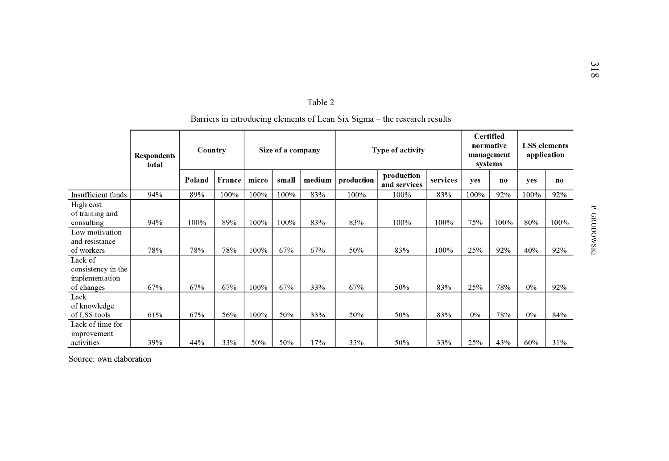|                                                               | <b>Respondents</b><br>total |        |               | Country |       | Size of a company |            | Type of activity           |          | <b>Certified</b><br>normative<br>management<br>systems |                | <b>LSS</b> elements<br>application |      |
|---------------------------------------------------------------|-----------------------------|--------|---------------|---------|-------|-------------------|------------|----------------------------|----------|--------------------------------------------------------|----------------|------------------------------------|------|
|                                                               |                             | Poland | <b>France</b> | micro   | small | medium            | production | production<br>and services | services | yes                                                    | n <sub>0</sub> | yes                                | no   |
| Insufficient funds                                            | 94%                         | 89%    | 100%          | 100%    | 100%  | 83%               | 100%       | 100%                       | 83%      | 100%                                                   | 92%            | 100%                               | 92%  |
| High cost<br>of training and<br>consulting                    | 94%                         | 100%   | 89%           | 100%    | 100%  | 83%               | 83%        | 100%                       | 100%     | 75%                                                    | 100%           | 80%                                | 100% |
| Low motivation<br>and resistance<br>of workers                | 78%                         | 78%    | 78%           | 100%    | 67%   | 67%               | 50%        | 83%                        | 100%     | 25%                                                    | 92%            | 40%                                | 92%  |
| Lack of<br>consistency in the<br>implementation<br>of changes | 67%                         | 67%    | 67%           | 100%    | 67%   | 33%               | 67%        | 50%                        | 83%      | 25%                                                    | 78%            | $0\%$                              | 92%  |
| Lack<br>of knowledge<br>of LSS tools                          | 61%                         | 67%    | 56%           | 100%    | 50%   | 33%               | 50%        | 50%                        | 83%      | $0\%$                                                  | 78%            | $0\%$                              | 84%  |
| Lack of time for<br>improvement<br>activities                 | 39%                         | 44%    | 33%           | 50%     | 50%   | 17%               | 33%        | 50%                        | 33%      | 25%                                                    | 43%            | 60%                                | 31%  |

## Barriers in introducing elements of Lean Six Sigma - the research results

Table 2

Source: own elaboration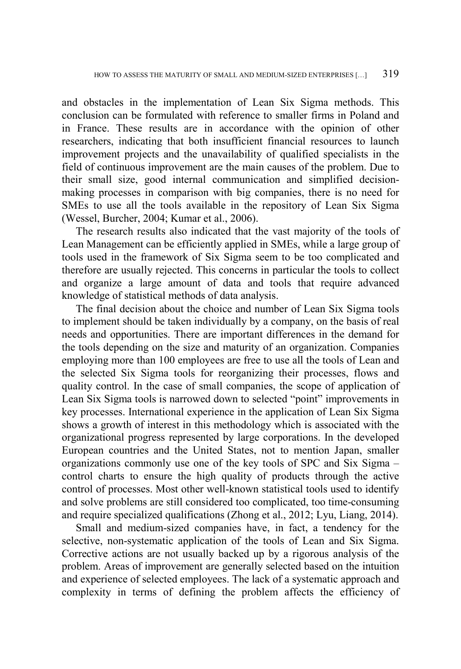and obstacles in the implementation of Lean Six Sigma methods. This conclusion can be formulated with reference to smaller firms in Poland and in France. These results are in accordance with the opinion of other researchers, indicating that both insufficient financial resources to launch improvement projects and the unavailability of qualified specialists in the field of continuous improvement are the main causes of the problem. Due to their small size, good internal communication and simplified decisionmaking processes in comparison with big companies, there is no need for SMEs to use all the tools available in the repository of Lean Six Sigma (Wessel, Burcher, 2004; Kumar et al., 2006).

The research results also indicated that the vast majority of the tools of Lean Management can be efficiently applied in SMEs, while a large group of tools used in the framework of Six Sigma seem to be too complicated and therefore are usually rejected. This concerns in particular the tools to collect and organize a large amount of data and tools that require advanced knowledge of statistical methods of data analysis.

The final decision about the choice and number of Lean Six Sigma tools to implement should be taken individually by a company, on the basis of real needs and opportunities. There are important differences in the demand for the tools depending on the size and maturity of an organization. Companies employing more than 100 employees are free to use all the tools of Lean and the selected Six Sigma tools for reorganizing their processes, flows and quality control. In the case of small companies, the scope of application of Lean Six Sigma tools is narrowed down to selected "point" improvements in key processes. International experience in the application of Lean Six Sigma shows a growth of interest in this methodology which is associated with the organizational progress represented by large corporations. In the developed European countries and the United States, not to mention Japan, smaller organizations commonly use one of the key tools of SPC and Six Sigma – control charts to ensure the high quality of products through the active control of processes. Most other well-known statistical tools used to identify and solve problems are still considered too complicated, too time-consuming and require specialized qualifications (Zhong et al., 2012; Lyu, Liang, 2014).

Small and medium-sized companies have, in fact, a tendency for the selective, non-systematic application of the tools of Lean and Six Sigma. Corrective actions are not usually backed up by a rigorous analysis of the problem. Areas of improvement are generally selected based on the intuition and experience of selected employees. The lack of a systematic approach and complexity in terms of defining the problem affects the efficiency of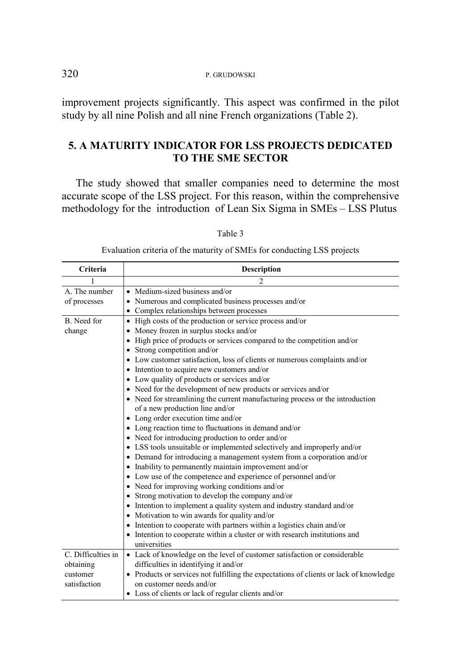improvement projects significantly. This aspect was confirmed in the pilot study by all nine Polish and all nine French organizations (Table 2).

## **5. A MATURITY INDICATOR FOR LSS PROJECTS DEDICATED TO THE SME SECTOR**

The study showed that smaller companies need to determine the most accurate scope of the LSS project. For this reason, within the comprehensive methodology for the introduction of Lean Six Sigma in SMEs – LSS Plutus

| Criteria           | <b>Description</b>                                                                     |
|--------------------|----------------------------------------------------------------------------------------|
|                    |                                                                                        |
| A. The number      | • Medium-sized business and/or                                                         |
| of processes       | • Numerous and complicated business processes and/or                                   |
|                    | • Complex relationships between processes                                              |
| B. Need for        | • High costs of the production or service process and/or                               |
| change             | • Money frozen in surplus stocks and/or                                                |
|                    | • High price of products or services compared to the competition and/or                |
|                    | • Strong competition and/or                                                            |
|                    | • Low customer satisfaction, loss of clients or numerous complaints and/or             |
|                    | • Intention to acquire new customers and/or                                            |
|                    | • Low quality of products or services and/or                                           |
|                    | • Need for the development of new products or services and/or                          |
|                    | • Need for streamlining the current manufacturing process or the introduction          |
|                    | of a new production line and/or                                                        |
|                    | • Long order execution time and/or                                                     |
|                    | • Long reaction time to fluctuations in demand and/or                                  |
|                    | • Need for introducing production to order and/or                                      |
|                    | • LSS tools unsuitable or implemented selectively and improperly and/or                |
|                    | • Demand for introducing a management system from a corporation and/or                 |
|                    | • Inability to permanently maintain improvement and/or                                 |
|                    | • Low use of the competence and experience of personnel and/or                         |
|                    | • Need for improving working conditions and/or                                         |
|                    | • Strong motivation to develop the company and/or                                      |
|                    | • Intention to implement a quality system and industry standard and/or                 |
|                    | • Motivation to win awards for quality and/or                                          |
|                    | • Intention to cooperate with partners within a logistics chain and/or                 |
|                    | • Intention to cooperate within a cluster or with research institutions and            |
|                    | universities                                                                           |
| C. Difficulties in | • Lack of knowledge on the level of customer satisfaction or considerable              |
| obtaining          | difficulties in identifying it and/or                                                  |
| customer           | • Products or services not fulfilling the expectations of clients or lack of knowledge |
| satisfaction       | on customer needs and/or                                                               |
|                    | • Loss of clients or lack of regular clients and/or                                    |

Table 3

Evaluation criteria of the maturity of SMEs for conducting LSS projects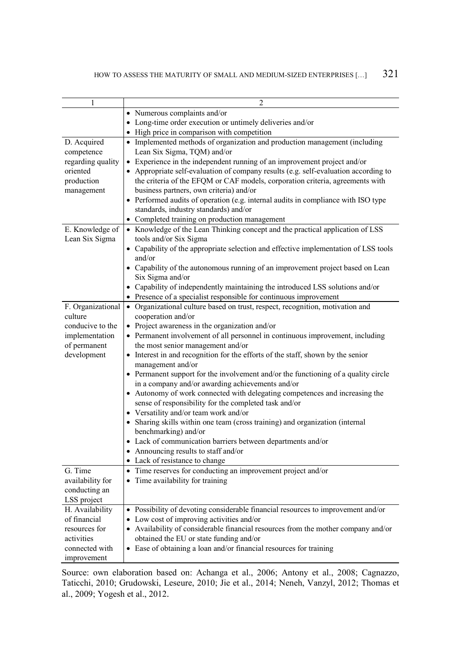| 1                            | $\overline{2}$                                                                                      |
|------------------------------|-----------------------------------------------------------------------------------------------------|
|                              | • Numerous complaints and/or                                                                        |
|                              | • Long-time order execution or untimely deliveries and/or                                           |
|                              | • High price in comparison with competition                                                         |
| D. Acquired                  | • Implemented methods of organization and production management (including                          |
| competence                   | Lean Six Sigma, TQM) and/or                                                                         |
| regarding quality            | • Experience in the independent running of an improvement project and/or                            |
| oriented                     | • Appropriate self-evaluation of company results (e.g. self-evaluation according to                 |
| production                   | the criteria of the EFQM or CAF models, corporation criteria, agreements with                       |
| management                   | business partners, own criteria) and/or                                                             |
|                              | • Performed audits of operation (e.g. internal audits in compliance with ISO type                   |
|                              | standards, industry standards) and/or                                                               |
|                              | • Completed training on production management                                                       |
| E. Knowledge of              | • Knowledge of the Lean Thinking concept and the practical application of LSS                       |
| Lean Six Sigma               | tools and/or Six Sigma                                                                              |
|                              | • Capability of the appropriate selection and effective implementation of LSS tools                 |
|                              | and/or                                                                                              |
|                              | • Capability of the autonomous running of an improvement project based on Lean                      |
|                              | Six Sigma and/or                                                                                    |
|                              | • Capability of independently maintaining the introduced LSS solutions and/or                       |
|                              | • Presence of a specialist responsible for continuous improvement                                   |
| F. Organizational<br>culture | • Organizational culture based on trust, respect, recognition, motivation and<br>cooperation and/or |
| conducive to the             | • Project awareness in the organization and/or                                                      |
| implementation               | • Permanent involvement of all personnel in continuous improvement, including                       |
| of permanent                 | the most senior management and/or                                                                   |
| development                  | • Interest in and recognition for the efforts of the staff, shown by the senior                     |
|                              | management and/or                                                                                   |
|                              | • Permanent support for the involvement and/or the functioning of a quality circle                  |
|                              | in a company and/or awarding achievements and/or                                                    |
|                              | • Autonomy of work connected with delegating competences and increasing the                         |
|                              | sense of responsibility for the completed task and/or                                               |
|                              | • Versatility and/or team work and/or                                                               |
|                              | • Sharing skills within one team (cross training) and organization (internal                        |
|                              | benchmarking) and/or                                                                                |
|                              | • Lack of communication barriers between departments and/or                                         |
|                              | • Announcing results to staff and/or                                                                |
|                              | • Lack of resistance to change                                                                      |
| G. Time                      | • Time reserves for conducting an improvement project and/or                                        |
| availability for             | • Time availability for training                                                                    |
| conducting an<br>LSS project |                                                                                                     |
| H. Availability              | • Possibility of devoting considerable financial resources to improvement and/or                    |
| of financial                 | Low cost of improving activities and/or                                                             |
| resources for                | • Availability of considerable financial resources from the mother company and/or                   |
| activities                   | obtained the EU or state funding and/or                                                             |
| connected with               | • Ease of obtaining a loan and/or financial resources for training                                  |
| improvement                  |                                                                                                     |

Source: own elaboration based on: Achanga et al., 2006; Antony et al., 2008; Cagnazzo, Taticchi, 2010; Grudowski, Leseure, 2010; Jie et al., 2014; Neneh, Vanzyl, 2012; Thomas et al., 2009; Yogesh et al., 2012.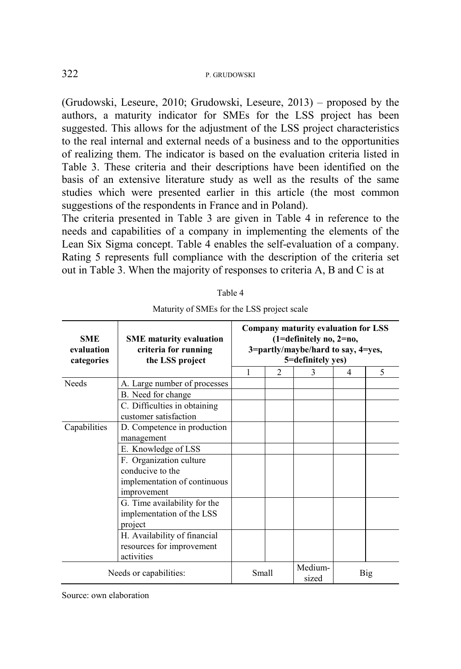(Grudowski, Leseure, 2010; Grudowski, Leseure, 2013) – proposed by the authors, a maturity indicator for SMEs for the LSS project has been suggested. This allows for the adjustment of the LSS project characteristics to the real internal and external needs of a business and to the opportunities of realizing them. The indicator is based on the evaluation criteria listed in Table 3. These criteria and their descriptions have been identified on the basis of an extensive literature study as well as the results of the same studies which were presented earlier in this article (the most common suggestions of the respondents in France and in Poland).

The criteria presented in Table 3 are given in Table 4 in reference to the needs and capabilities of a company in implementing the elements of the Lean Six Sigma concept. Table 4 enables the self-evaluation of a company. Rating 5 represents full compliance with the description of the criteria set out in Table 3. When the majority of responses to criteria A, B and C is at

| <b>SME</b><br>evaluation<br>categories | <b>SME</b> maturity evaluation<br>criteria for running<br>the LSS project |   | Company maturity evaluation for LSS<br>(1=definitely no, 2=no,<br>3=partly/maybe/hard to say, 4=yes,<br>5=definitely yes) |   |   |     |  |  |  |
|----------------------------------------|---------------------------------------------------------------------------|---|---------------------------------------------------------------------------------------------------------------------------|---|---|-----|--|--|--|
|                                        |                                                                           | 1 | $\overline{2}$                                                                                                            | 3 | 4 | 5   |  |  |  |
| <b>Needs</b>                           | A. Large number of processes                                              |   |                                                                                                                           |   |   |     |  |  |  |
|                                        | B. Need for change                                                        |   |                                                                                                                           |   |   |     |  |  |  |
|                                        | C. Difficulties in obtaining<br>customer satisfaction                     |   |                                                                                                                           |   |   |     |  |  |  |
| Capabilities                           | D. Competence in production                                               |   |                                                                                                                           |   |   |     |  |  |  |
|                                        | management                                                                |   |                                                                                                                           |   |   |     |  |  |  |
|                                        | E. Knowledge of LSS                                                       |   |                                                                                                                           |   |   |     |  |  |  |
|                                        | F. Organization culture                                                   |   |                                                                                                                           |   |   |     |  |  |  |
|                                        | conducive to the                                                          |   |                                                                                                                           |   |   |     |  |  |  |
|                                        | implementation of continuous                                              |   |                                                                                                                           |   |   |     |  |  |  |
|                                        | improvement                                                               |   |                                                                                                                           |   |   |     |  |  |  |
|                                        | G. Time availability for the                                              |   |                                                                                                                           |   |   |     |  |  |  |
|                                        | implementation of the LSS                                                 |   |                                                                                                                           |   |   |     |  |  |  |
|                                        | project                                                                   |   |                                                                                                                           |   |   |     |  |  |  |
|                                        | H. Availability of financial                                              |   |                                                                                                                           |   |   |     |  |  |  |
|                                        | resources for improvement                                                 |   |                                                                                                                           |   |   |     |  |  |  |
|                                        | activities                                                                |   |                                                                                                                           |   |   |     |  |  |  |
|                                        | Needs or capabilities:                                                    |   | Medium-<br>Small<br>sized                                                                                                 |   |   | Big |  |  |  |

Maturity of SMEs for the LSS project scale

Source: own elaboration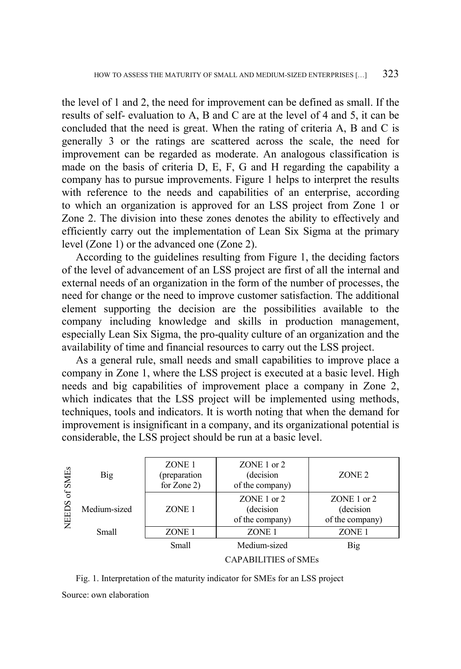the level of 1 and 2, the need for improvement can be defined as small. If the results of self- evaluation to A, B and C are at the level of 4 and 5, it can be concluded that the need is great. When the rating of criteria A, B and C is generally 3 or the ratings are scattered across the scale, the need for improvement can be regarded as moderate. An analogous classification is made on the basis of criteria D, E, F, G and H regarding the capability a company has to pursue improvements. Figure 1 helps to interpret the results with reference to the needs and capabilities of an enterprise, according to which an organization is approved for an LSS project from Zone 1 or Zone 2. The division into these zones denotes the ability to effectively and efficiently carry out the implementation of Lean Six Sigma at the primary level (Zone 1) or the advanced one (Zone 2).

According to the guidelines resulting from Figure 1, the deciding factors of the level of advancement of an LSS project are first of all the internal and external needs of an organization in the form of the number of processes, the need for change or the need to improve customer satisfaction. The additional element supporting the decision are the possibilities available to the company including knowledge and skills in production management, especially Lean Six Sigma, the pro-quality culture of an organization and the availability of time and financial resources to carry out the LSS project.

As a general rule, small needs and small capabilities to improve place a company in Zone 1, where the LSS project is executed at a basic level. High needs and big capabilities of improvement place a company in Zone 2, which indicates that the LSS project will be implemented using methods, techniques, tools and indicators. It is worth noting that when the demand for improvement is insignificant in a company, and its organizational potential is considerable, the LSS project should be run at a basic level.

| ofSMEs<br><b>NEEDS</b> | <b>Big</b>   | ZONE 1<br>(preparation<br>for Zone 2) | $ZONE 1$ or $2$<br>(decision)<br>of the company) | ZONE <sub>2</sub>                            |  |  |
|------------------------|--------------|---------------------------------------|--------------------------------------------------|----------------------------------------------|--|--|
|                        | Medium-sized | ZONE <sub>1</sub>                     | ZONE 1 or 2<br>(decision)<br>of the company)     | ZONE 1 or 2<br>(decision)<br>of the company) |  |  |
|                        | Small        | ZONE <sub>1</sub>                     | ZONE 1                                           | ZONE <sub>1</sub>                            |  |  |
|                        |              | Small                                 | Medium-sized                                     | <b>Big</b>                                   |  |  |
|                        |              | <b>CAPABILITIES of SMEs</b>           |                                                  |                                              |  |  |

Fig. 1. Interpretation of the maturity indicator for SMEs for an LSS project Source: own elaboration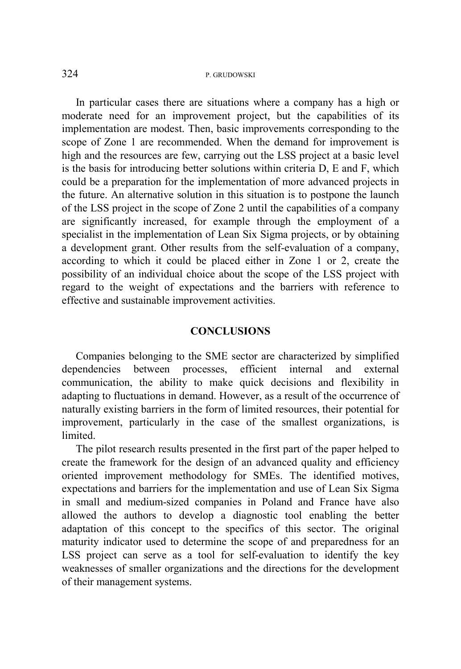In particular cases there are situations where a company has a high or moderate need for an improvement project, but the capabilities of its implementation are modest. Then, basic improvements corresponding to the scope of Zone 1 are recommended. When the demand for improvement is high and the resources are few, carrying out the LSS project at a basic level is the basis for introducing better solutions within criteria D, E and F, which could be a preparation for the implementation of more advanced projects in the future. An alternative solution in this situation is to postpone the launch of the LSS project in the scope of Zone 2 until the capabilities of a company are significantly increased, for example through the employment of a specialist in the implementation of Lean Six Sigma projects, or by obtaining a development grant. Other results from the self-evaluation of a company, according to which it could be placed either in Zone 1 or 2, create the possibility of an individual choice about the scope of the LSS project with regard to the weight of expectations and the barriers with reference to effective and sustainable improvement activities.

#### **CONCLUSIONS**

Companies belonging to the SME sector are characterized by simplified dependencies between processes, efficient internal and external communication, the ability to make quick decisions and flexibility in adapting to fluctuations in demand. However, as a result of the occurrence of naturally existing barriers in the form of limited resources, their potential for improvement, particularly in the case of the smallest organizations, is limited.

The pilot research results presented in the first part of the paper helped to create the framework for the design of an advanced quality and efficiency oriented improvement methodology for SMEs. The identified motives, expectations and barriers for the implementation and use of Lean Six Sigma in small and medium-sized companies in Poland and France have also allowed the authors to develop a diagnostic tool enabling the better adaptation of this concept to the specifics of this sector. The original maturity indicator used to determine the scope of and preparedness for an LSS project can serve as a tool for self-evaluation to identify the key weaknesses of smaller organizations and the directions for the development of their management systems.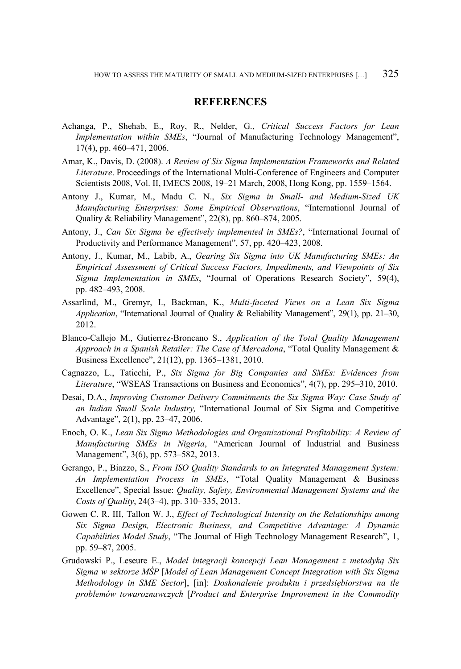#### **REFERENCES**

- Achanga, P., Shehab, E., Roy, R., Nelder, G., *Critical Success Factors for Lean Implementation within SMEs*, "Journal of Manufacturing Technology Management", 17(4), pp. 460–471, 2006.
- Amar, K., Davis, D. (2008). *A Review of Six Sigma Implementation Frameworks and Related Literature*. Proceedings of the International Multi-Conference of Engineers and Computer Scientists 2008, Vol. II, IMECS 2008, 19–21 March, 2008, Hong Kong, pp. 1559–1564.
- Antony J., Kumar, M., Madu C. N., *Six Sigma in Small- and Medium-Sized UK Manufacturing Enterprises: Some Empirical Observations*, "International Journal of Quality & Reliability Management", 22(8), pp. 860–874, 2005.
- Antony, J., *Can Six Sigma be effectively implemented in SMEs?*, "International Journal of Productivity and Performance Management", 57, pp. 420–423, 2008.
- Antony, J., Kumar, M., Labib, A., *Gearing Six Sigma into UK Manufacturing SMEs: An Empirical Assessment of Critical Success Factors, Impediments, and Viewpoints of Six Sigma Implementation in SMEs*, "Journal of Operations Research Society", 59(4), pp. 482–493, 2008.
- Assarlind, M., Gremyr, I., Backman, K., *Multi-faceted Views on a Lean Six Sigma Application*, "International Journal of Quality & Reliability Management", 29(1), pp. 21–30, 2012.
- Blanco-Callejo M., Gutierrez-Broncano S., *Application of the Total Quality Management Approach in a Spanish Retailer: The Case of Mercadona*, "Total Quality Management & Business Excellence", 21(12), pp. 1365–1381, 2010.
- Cagnazzo, L., Taticchi, P., *Six Sigma for Big Companies and SMEs: Evidences from Literature*, "WSEAS Transactions on Business and Economics", 4(7), pp. 295–310, 2010.
- Desai, D.A., *Improving Customer Delivery Commitments the Six Sigma Way: Case Study of an Indian Small Scale Industry,* "International Journal of Six Sigma and Competitive Advantage", 2(1), pp. 23–47, 2006.
- Enoch, O. K., *Lean Six Sigma Methodologies and Organizational Profitability: A Review of Manufacturing SMEs in Nigeria*, "American Journal of Industrial and Business Management", 3(6), pp. 573–582, 2013.
- Gerango, P., Biazzo, S., *From ISO Quality Standards to an Integrated Management System: An Implementation Process in SMEs*, "Total Quality Management & Business Excellence", [Special](http://www.tandfonline.com/toc/ctqm20/24/3-4) Issue: *Quality, Safety, Environmental Management Systems and the Costs of Quality*[, 24](http://www.tandfonline.com/loi/ctqm20?open=24%23vol_24)[\(3–4\)](http://www.tandfonline.com/toc/ctqm20/24/3-4), pp. 310–335, 2013.
- Gowen C. R. III, Tallon W. J., *Effect of Technological Intensity on the Relationships among Six Sigma Design, Electronic Business, and Competitive Advantage: A Dynamic Capabilities Model Study*, "The Journal of High Technology Management Research", 1, pp. 59–87, 2005.
- Grudowski P., Leseure E., *Model integracji koncepcji Lean Management z metodyką Six Sigma w sektorze MŚP* [*Model of Lean Management Concept Integration with Six Sigma Methodology in SME Sector*], [in]: *Doskonalenie produktu i przedsiębiorstwa na tle problemów towaroznawczych* [*Product and Enterprise Improvement in the Commodity*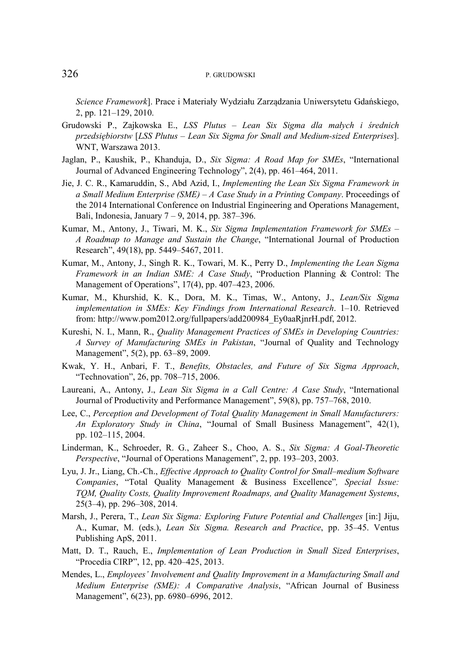*Science Framework*]. Prace i Materiały Wydziału Zarządzania Uniwersytetu Gdańskiego, 2, pp. 121–129, 2010.

- Grudowski P., Zajkowska E., *LSS Plutus – Lean Six Sigma dla małych i średnich przedsiębiorstw* [*LSS Plutus – Lean Six Sigma for Small and Medium-sized Enterprises*]. WNT, Warszawa 2013.
- Jaglan, P., Kaushik, P., Khanduja, D., *Six Sigma: A Road Map for SMEs*, "International Journal of Advanced Engineering Technology", 2(4), pp. 461–464, 2011.
- Jie, J. C. R., Kamaruddin, S., Abd Azid, I., *Implementing the Lean Six Sigma Framework in a Small Medium Enterprise (SME) – A Case Study in a Printing Company*. Proceedings of the 2014 International Conference on Industrial Engineering and Operations Management, Bali, Indonesia, January 7 – 9, 2014, pp. 387–396.
- Kumar, M., Antony, J., Tiwari, M. K., *Six Sigma Implementation Framework for SMEs – A Roadmap to Manage and Sustain the Change*, "International Journal of Production Research", 49(18), pp. 5449–5467, 2011.
- Kumar, M., Antony, J., Singh R. K., Towari, M. K., Perry D., *Implementing the Lean Sigma Framework in an Indian SME: A Case Study*, "Production Planning & Control: The Management of Operations", 17(4), pp. 407–423, 2006.
- Kumar, M., Khurshid, K. K., Dora, M. K., Timas, W., Antony, J., *Lean/Six Sigma implementation in SMEs: Key Findings from International Research*. 1–10. Retrieved from: [http://www.pom2012.org/fullpapers/add200984\\_Ey0aaRjnrH.pdf,](http://www.pom2012.org/fullpapers/add200984_Ey0aaRjnrH.pdf) 2012.
- Kureshi, N. I., Mann, R., *Quality Management Practices of SMEs in Developing Countries: A Survey of Manufacturing SMEs in Pakistan*, "Journal of Quality and Technology Management", 5(2), pp. 63–89, 2009.
- Kwak, Y. H., Anbari, F. T., *Benefits, Obstacles, and Future of Six Sigma Approach*, "Technovation", 26, pp. 708–715, 2006.
- Laureani, A., Antony, J., *Lean Six Sigma in a Call Centre: A Case Study*, "International Journal of Productivity and Performance Management", 59(8), pp. 757–768, 2010.
- Lee, C., *Perception and Development of Total Quality Management in Small Manufacturers: An Exploratory Study in China*, "Journal of Small Business Management", 42(1), pp. 102–115, 2004.
- Linderman, K., Schroeder, R. G., Zaheer S., Choo, A. S., *Six Sigma: A Goal-Theoretic Perspective*, "Journal of Operations Management", 2, pp. 193–203, 2003.
- Lyu, J. Jr., Liang, Ch.-Ch., *Effective Approach to Quality Control for Small–medium Software Companies*, "Total Quality Management & Business Excellence"*[, Special Issue:](http://www.tandfonline.com/toc/ctqm20/25/3-4)  [TQM, Quality Costs, Quality Improvement Roadmaps, and Quality Management Systems](http://www.tandfonline.com/toc/ctqm20/25/3-4)*, 25(3–4), pp. 296–308, 2014.
- Marsh, J., Perera, T., *Lean Six Sigma: Exploring Future Potential and Challenges* [in:] Jiju, A., Kumar, M. (eds.), *Lean Six Sigma. Research and Practice*, pp. 35–45. Ventus Publishing ApS, 2011.
- Matt, D. T., Rauch, E., *Implementation of Lean Production in Small Sized Enterprises*, "Procedia CIRP", 12, pp. 420–425, 2013.
- Mendes, L., *Employees' Involvement and Quality Improvement in a Manufacturing Small and Medium Enterprise (SME): A Comparative Analysis*, "African Journal of Business Management", 6(23), pp. 6980–6996, 2012.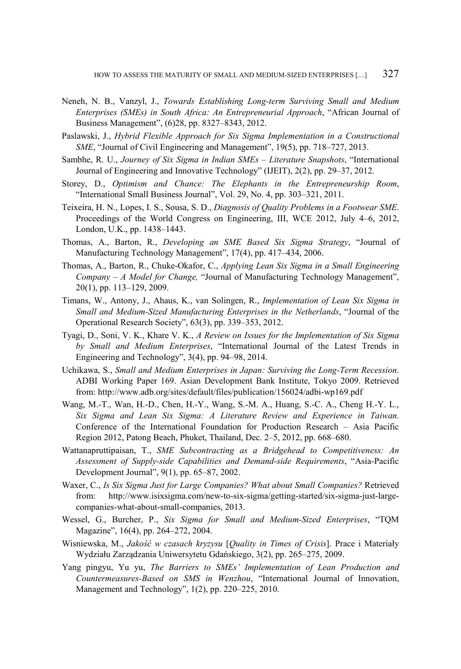- Neneh, N. B., Vanzyl, J., *Towards Establishing Long-term Surviving Small and Medium Enterprises (SMEs) in South Africa: An Entrepreneurial Approach*, "African Journal of Business Management", (6)28, pp. 8327–8343, 2012.
- Paslawski, J., *Hybrid Flexible Approach for Six Sigma Implementation in a Constructional SME*, "Journal of Civil Engineering and Management", 19(5), pp. 718–727, 2013.
- Sambhe, R. U., *Journey of Six Sigma in Indian SMEs – Literature Snapshots*, "International Journal of Engineering and Innovative Technology" (IJEIT), 2(2), pp. 29–37, 2012.
- Storey, D., *Optimism and Chance: The Elephants in the Entrepreneurship Room*, "International Small Business Journal", Vol. 29, No. 4, pp. 303–321, 2011.
- Teixeira, H. N., Lopes, I. S., Sousa, S. D., *Diagnosis of Quality Problems in a Footwear SME*. Proceedings of the World Congress on Engineering, III, WCE 2012, July 4–6, 2012, London, U.K., pp. 1438–1443.
- Thomas, A., Barton, R., *Developing an SME Based Six Sigma Strategy*, "Journal of Manufacturing Technology Management", 17(4), pp. 417–434, 2006.
- Thomas, A., Barton, R., Chuke-Okafor, C., *Applying Lean Six Sigma in a Small Engineering Company – A Model for Change,* "Journal of Manufacturing Technology Management", 20(1), pp. 113–129, 2009.
- Timans, W., Antony, J., Ahaus, K., van Solingen, R., *Implementation of Lean Six Sigma in Small and Medium-Sized Manufacturing Enterprises in the Netherlands*, ["Journal of the](http://papers.ssrn.com/sol3/papers.cfm?abstract_id=1997759%23%23) Operational Research Society", 63(3), pp. 339–353, 2012.
- Tyagi, D., Soni, V. K., Khare V. K., *A Review on Issues for the Implementation of Six Sigma by Small and Medium Enterprises*, "International Journal of the Latest Trends in Engineering and Technology", 3(4), pp. 94–98, 2014.
- Uchikawa, S., *Small and Medium Enterprises in Japan: Surviving the Long-Term Recession*. ADBI Working Paper 169. Asian Development Bank Institute, Tokyo 2009. Retrieved from: http://www.adb.org/sites/default/files/publication/156024/adbi-wp169.pdf
- Wang, M.-T., Wan, H.-D., Chen, H.-Y., Wang, S.-M. A., Huang, S.-C. A., Cheng H.-Y. L., *Six Sigma and Lean Six Sigma: A Literature Review and Experience in Taiwan*. Conference of the International Foundation for Production Research – Asia Pacific Region 2012, Patong Beach, Phuket, Thailand, Dec. 2–5, 2012, pp. 668–680.
- Wattanapruttipaisan, T., *SME Subcontracting as a Bridgehead to Competitiveness: An Assessment of Supply-side Capabilities and Demand-side Requirements*, "Asia-Pacific Development Journal", 9(1), pp. 65–87, 2002.
- Waxer, C., *Is Six Sigma Just for Large Companies? What about Small Companies?* Retrieved from: [http://www.isixsigma.com/new-to-six-sigma/getting-started/six-sigma-just-large](http://www.isixsigma.com/new-to-six-sigma/getting-started/six-sigma-just-large-companies-what-about-small-companies)[companies-what-about-small-companies,](http://www.isixsigma.com/new-to-six-sigma/getting-started/six-sigma-just-large-companies-what-about-small-companies) 2013.
- Wessel, G., Burcher, P., *Six Sigma for Small and Medium-Sized Enterprises*, "TQM Magazine", 16(4), pp. 264–272, 2004.
- Wisniewska, M., *Jakość w czasach kryzysu* [*Quality in Times of Crisis*]. Prace i Materiały Wydziału Zarządzania Uniwersytetu Gdańskiego, 3(2), pp. 265–275, 2009.
- Yang pingyu, Yu yu, *The Barriers to SMEs' Implementation of Lean Production and Countermeasures-Based on SMS in Wenzhou*, "International Journal of Innovation, Management and Technology", 1(2), pp. 220–225, 2010.